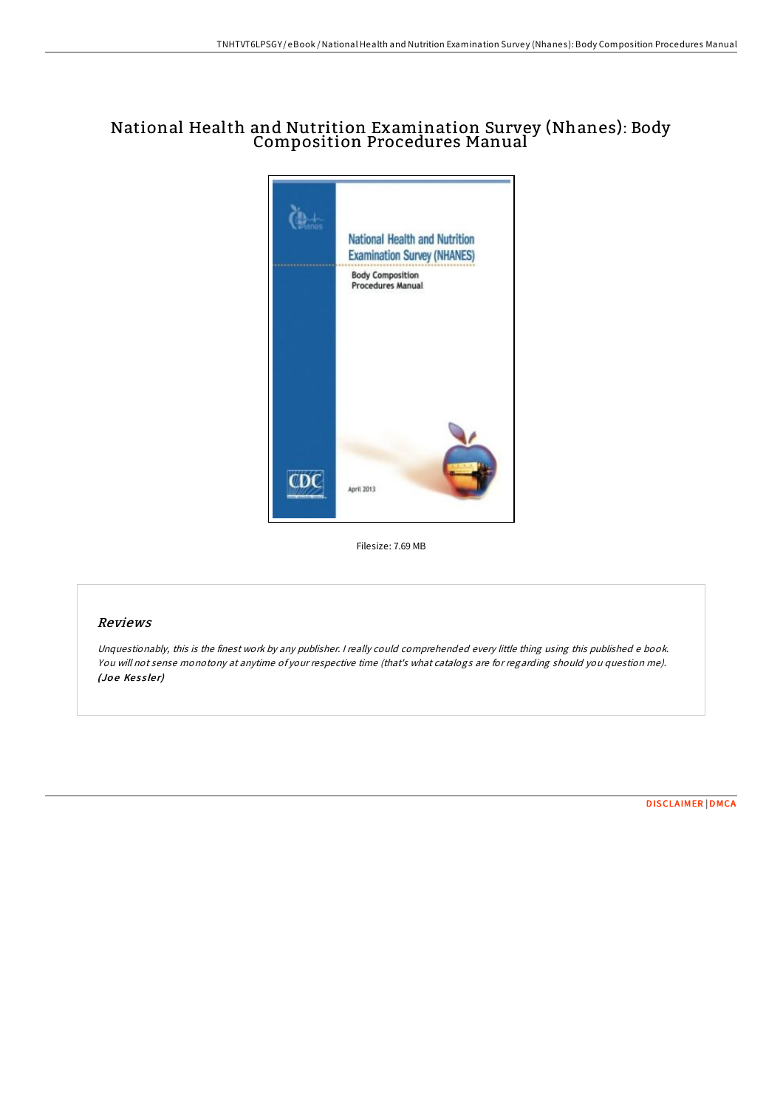# National Health and Nutrition Examination Survey (Nhanes): Body Composition Procedures Manual



Filesize: 7.69 MB

## Reviews

Unquestionably, this is the finest work by any publisher. <sup>I</sup> really could comprehended every little thing using this published <sup>e</sup> book. You will not sense monotony at anytime of your respective time (that's what catalogs are for regarding should you question me). (Joe Kessler)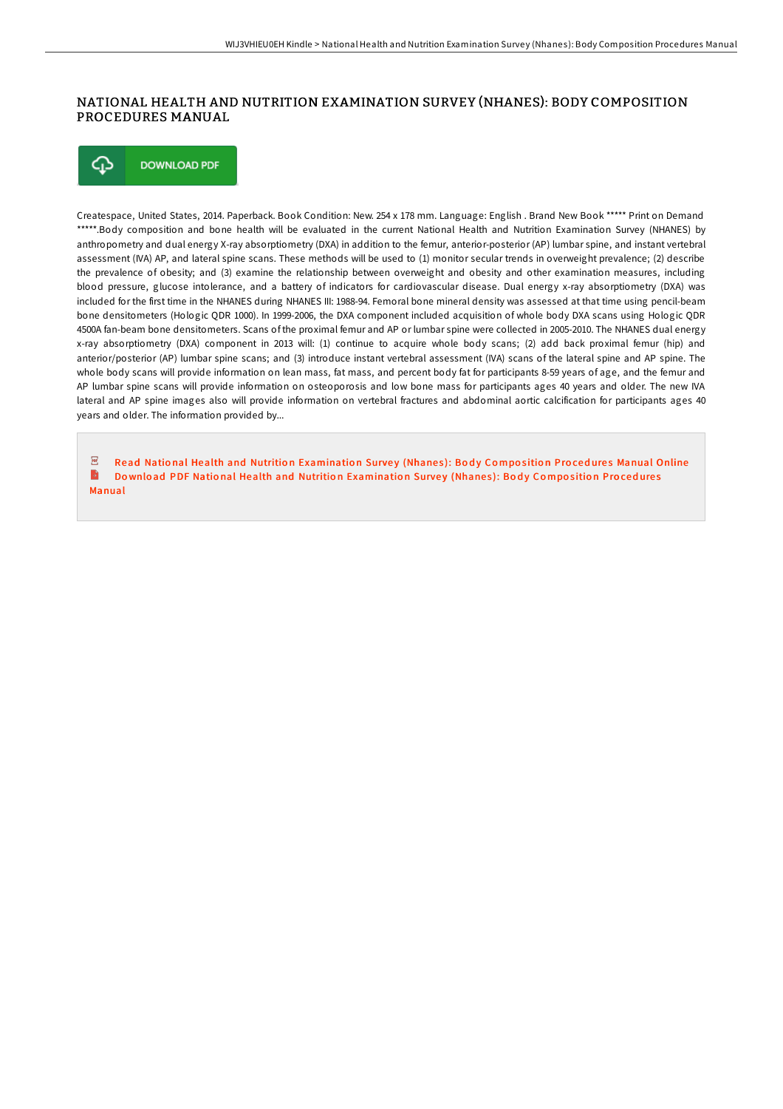### NATIONAL HEALTH AND NUTRITION EXAMINATION SURVEY (NHANES): BODY COMPOSITION PROCEDURES MANUAL

⊕ **DOWNLOAD PDF** 

Createspace, United States, 2014. Paperback. Book Condition: New. 254 x 178 mm. Language: English . Brand New Book \*\*\*\*\* Print on Demand \*\*\*\*\*.Body composition and bone health will be evaluated in the current National Health and Nutrition Examination Survey (NHANES) by anthropometry and dual energy X-ray absorptiometry (DXA) in addition to the femur, anterior-posterior (AP) lumbar spine, and instant vertebral assessment (IVA) AP, and lateral spine scans. These methods will be used to (1) monitor secular trends in overweight prevalence; (2) describe the prevalence of obesity; and (3) examine the relationship between overweight and obesity and other examination measures, including blood pressure, glucose intolerance, and a battery of indicators for cardiovascular disease. Dual energy x-ray absorptiometry (DXA) was included for the first time in the NHANES during NHANES III: 1988-94. Femoral bone mineral density was assessed at that time using pencil-beam bone densitometers (Hologic QDR 1000). In 1999-2006, the DXA component included acquisition of whole body DXA scans using Hologic QDR 4500A fan-beam bone densitometers. Scans of the proximal femur and AP or lumbar spine were collected in 2005-2010. The NHANES dual energy x-ray absorptiometry (DXA) component in 2013 will: (1) continue to acquire whole body scans; (2) add back proximal femur (hip) and anterior/posterior (AP) lumbar spine scans; and (3) introduce instant vertebral assessment (IVA) scans of the lateral spine and AP spine. The whole body scans will provide information on lean mass, fat mass, and percent body fat for participants 8-59 years of age, and the femur and AP lumbar spine scans will provide information on osteoporosis and low bone mass for participants ages 40 years and older. The new IVA lateral and AP spine images also will provide information on vertebral fractures and abdominal aortic calcification for participants ages 40 years and older. The information provided by...

 $\sqrt{p}$ Read National Health and Nutrition [Examinatio](http://almighty24.tech/national-health-and-nutrition-examination-survey-7.html)n Survey (Nhanes): Body Composition Procedures Manual Online  $\blacksquare$ Download PDF National Health and Nutrition [Examinatio](http://almighty24.tech/national-health-and-nutrition-examination-survey-7.html)n Survey (Nhanes): Body Composition Procedures Manual